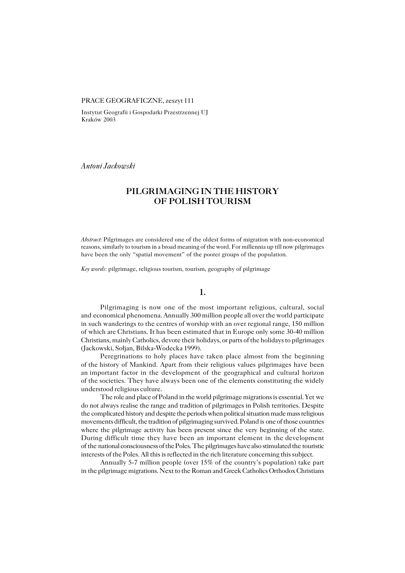#### PRACE GEOGRAFICZNE, zeszyt 111

Instytut Geografii i Gospodarki Przestrzennej UJ Kraków 2003

*Antoni Jackowski*

# **PILGRIMAGING IN THE HISTORY OF POLISH TOURISM**

*Abstract*: Pilgrimages are considered one of the oldest forms of migration with non−economical reasons, similarly to tourism in a broad meaning of the word. For millennia up till now pilgrimages have been the only "spatial movement" of the poorer groups of the population.

*Key words*: pilgrimage, religious tourism, tourism, geography of pilgrimage

#### **1.**

Pilgrimaging is now one of the most important religious, cultural, social and economical phenomena. Annually 300 million people all over the world participate in such wanderings to the centres of worship with an over regional range, 150 million ofwhich are Christians. It has been estimated that in Europe only some 30−40 million Christians, mainly Catholics, devote their holidays, or parts of the holidays to pilgrimages (Jackowski, Sołjan, Bilska−Wodecka 1999).

Peregrinations to holy places have taken place almost from the beginning of the history of Mankind. Apart from their religious values pilgrimages have been animportant factor in the development of the geographical and cultural horizon of the societies. They have always been one of the elements constituting the widely understood religious culture.

The role and place of Poland in the world pilgrimage migrations is essential. Yetwe do not always realise the range and tradition of pilgrimages in Polish territories. Despite the complicated history and despite the periods when political situation made mass religious movements difficult, the tradition of pilgrimaging survived. Poland isone of those countries where the pilgrimage activity has been present since the very beginning of the state. During difficult time they have been an important element in the development of the national consciousness of the Poles. The pilgrimages have also stimulated the touristic interests of the Poles. All this is reflected in the rich literature concerning this subject.

Annually 5−7 million people (over 15% of the country's population) take part in the pilgrimage migrations. Next to the Roman and Greek Catholics Orthodox Christians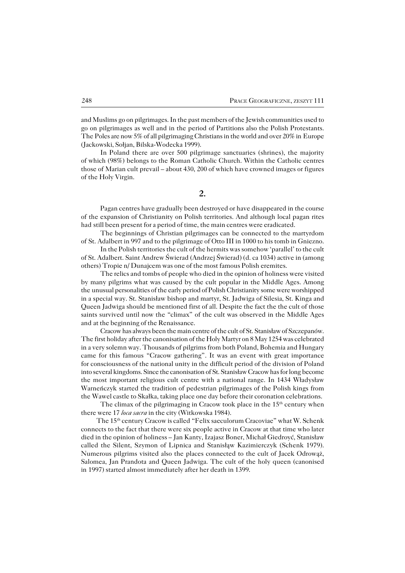and Muslims go on pilgrimages. In the past members of the Jewish communities used to go on pilgrimages as well and in the period of Partitions also the Polish Protestants. The Poles are now 5% of all pilgrimaging Christians in the world and over  $20\%$  in Europe (Jackowski, Sołjan, Bilska−Wodecka 1999).

In Poland there are over 500 pilgrimage sanctuaries (shrines), the majority ofwhich (98%) belongs to the Roman Catholic Church. Within the Catholic centres those of Marian cult prevail – about 430, 200 of which have crowned images or figures of the Holy Virgin.

**2.**

Pagan centres have gradually been destroyed or have disappeared in the course of the expansion of Christianity on Polish territories. And although local pagan rites had still been present for a period of time, the main centres were eradicated.

The beginnings of Christian pilgrimages can be connected to the martyrdom of St. Adalbert in 997 and to the pilgrimage of Otto III in 1000 to his tomb in Gniezno.

In the Polish territories the cult of the hermits was somehow 'parallel' to the cult of St. Adalbert. Saint Andrew Świerad (Andrzej Świerad) (d. ca 1034) active in (among others) Tropie n/ Dunajcem was one of the most famous Polish eremites.

The relics and tombs of people who died in the opinion of holiness were visited by many pilgrims what was caused by the cult popular in the Middle Ages. Among the unusual personalities of the early period of Polish Christianity some were worshipped in a special way. St. Stanisław bishop and martyr, St. Jadwiga of Silesia, St. Kinga and Queen Jadwiga should be mentioned first of all. Despite the fact the the cult of those saints survived until now the "climax" of the cult was observed in the Middle Ages and at the beginning of the Renaissance.

Cracow has always been the main centre of the cult of St. Stanisław of Szczepanów. The first holiday after the canonisation of the Holy Martyr on 8 May 1254 was celebrated in a very solemn way. Thousands of pilgrims from both Poland, Bohemia and Hungary came for this famous "Cracow gathering". It was an event with great importance for consciousness of the national unity in the difficult period of the division of Poland into several kingdoms. Since the canonisation of St. Stanisław Cracow has for long become the most important religious cult centre with a national range. In 1434 Władysław Warneńczyk started the tradition of pedestrian pilgrimages of the Polish kings from theWawel castle to Skałka, taking place one day before their coronation celebrations.

The climax of the pilgrimaging in Cracow took place in the 15<sup>th</sup> century when there were 17 *loca sacra* in the city (Witkowska 1984).

The 15th century Cracow is called "Felix saeculorum Cracoviae" what W. Schenk connects to the fact that there were six people active in Cracow at that time who later died in the opinion of holiness – Jan Kanty, Izajasz Boner, Michał Giedroyć, Stanisław called the Silent, Szymon of Lipnica and Stanisłąw Kazimierczyk (Schenk 1979). Numerous pilgrims visited also the places connected to the cult of Jacek Odrowąż, Salomea, Jan Prandota and Queen Jadwiga. The cult of the holy queen (canonised in1997) started almost immediately after her death in 1399.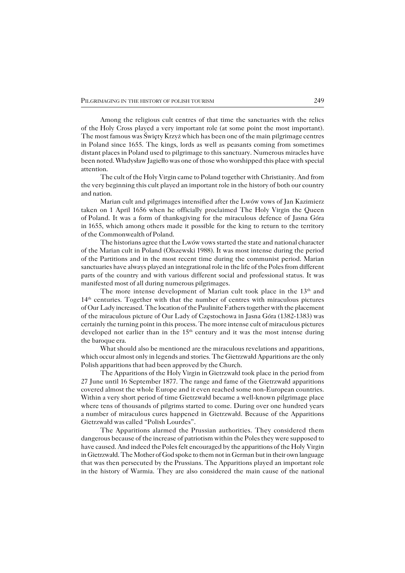Among the religious cult centres of that time the sanctuaries with the relics of theHoly Cross played a very important role (at some point the most important). The most famous was Święty Krzyż which has been one of the main pilgrimage centres in Poland since 1655. The kings, lords as well as peasants coming from sometimes distant places in Poland used to pilgrimage to this sanctuary. Numerous miracles have been noted. Władysław Jagiełło was one of those who worshipped this place with special attention.

The cult of the Holy Virgin came to Poland together with Christianity. And from the very beginning this cult played an important role in the history of both our country and nation.

Marian cult and pilgrimages intensified after the Lwów vows of Jan Kazimierz taken on 1 April 1656 when he officially proclaimed The Holy Virgin the Queen ofPoland. It was a form of thanksgiving for the miraculous defence of Jasna Góra in1655, which among others made it possible for the king to return to the territory of the Commonwealth of Poland.

The historians agree that the Lwów vows started the state and national character of the Marian cult in Poland (Olszewski 1988). It was most intense during the period ofthe Partitions and in the most recent time during the communist period. Marian sanctuaries have always played an integrational role in the life of the Poles from different parts of the country and with various different social and professional status. It was manifested most of all during numerous pilgrimages.

The more intense development of Marian cult took place in the  $13<sup>th</sup>$  and 14th centuries. Together with that the number of centres with miraculous pictures of Our Lady increased. The location of the Paulinite Fathers together with the placement of themiraculous picture of Our Lady of Częstochowa in Jasna Góra (1382−1383) was certainly the turning point in this process. The more intense cult of miraculous pictures developed not earlier than in the 15<sup>th</sup> century and it was the most intense during the baroque era.

What should also be mentioned are the miraculous revelations and apparitions, which occur almost only in legends and stories. The Gietrzwałd Apparitions are the only Polish apparitions that had been approved by the Church.

The Apparitions of the Holy Virgin in Gietrzwałd took place in the period from 27 June until 16 September 1877. The range and fame of the Gietrzwałd apparitions covered almost the whole Europe and it even reached some non−European countries. Within a very short period of time Gietrzwałd became a well−known pilgrimage place where tens of thousands of pilgrims started to come. During over one hundred years anumber of miraculous cures happened in Gietrzwałd. Because of the Apparitions Gietrzwałd was called "Polish Lourdes".

The Apparitions alarmed the Prussian authorities. They considered them dangerous because of the increase of patriotism within the Poles they were supposed to have caused. And indeed the Poles felt encouraged by the apparitions of the Holy Virgin in Gietrzwałd. The Mother of God spoke to them not in German but in their own language that was then persecuted by the Prussians. The Apparitions played an important role in the history of Warmia. They are also considered the main cause of the national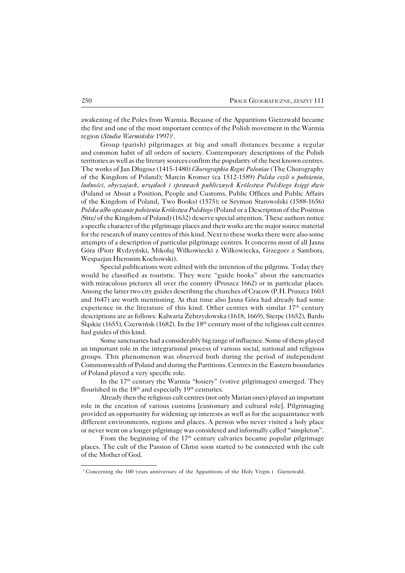awakening of the Poles from Warmia. Because of the Apparitions Gietrzwałd became the first and one of the most important centres of the Polish movement in the Warmia region (Studia Warmińskie 1997)<sup>1</sup>.

Group (parish) pilgrimages at big and small distances became a regular and common habit of all orders of society. Contemporary descriptions of the Polish territories as well as the literary sources confirm the popularity of the best known centres. The works of Jan Długosz (1415−1480) *Chorographia Regni Poloniae* (The Chorography of the Kingdom of Poland); Marcin Kromer (ca 1512−1589) *Polska czyli o położeniu, ludności, obyczajach, urzędach i sprawach publicznych Królestwa Polskiego księgi dwie* (Poland or About a Position, People and Customs, Public Offices and Public Affairs of the Kingdom of Poland, Two Books) (1575); or Szymon Starowolski (1588−1656) *Polska albo opisanie położenia Królestwa Polskiego* (Poland or a Description of the Position /Site/ of the Kingdom of Poland) (1632) deserve special attention. These authors notice a specific character of the pilgrimage places and their works are the major source material for the research of many centres of this kind. Next to these works there were also some attempts of a description of particular pilgrimage centres. It concerns most of all Jasna Góra (Piotr Rydzyński, Mikołaj Wilkowiecki z Wilkowiecka, Grzegorz z Sambora, Wespazjan Hieronim Kochowski).

Special publications were edited with the intention of the pilgrims. Today they would be classified as touristic. They were "guide books" about the sanctuaries with miraculous pictures all over the country (Pruszcz 1662) or in particular places. Among the latter two city guides describing the churches of Cracow (P.H. Pruszcz 1603) and 1647) are worth mentioning. At that time also Jasna Góra had already had some experience in the literature of this kind. Other centres with similar 17<sup>th</sup> century descriptions are as follows: Kalwaria Zebrzydowska (1618, 1669), Sierpc (1652), Bardo Śląskie (1655), Czerwińsk (1682). In the 18<sup>th</sup> century most of the religious cult centres had guides of this kind.

Some sanctuaries had a considerably big range of influence. Some of them played an important role in the integrational process of various social, national and religious groups. This phenomenon was observed both during the period of independent Commonwealth of Poland and during the Partitions. Centres in the Eastern boundaries of Poland played a very specific role.

In the 17<sup>th</sup> century the Warmia "łosiery" (votive pilgrimages) emerged. They flourished in the  $18<sup>th</sup>$  and especially  $19<sup>th</sup>$  centuries.

Already then the religious cult centres (not only Marian ones) played an important role in the creation of various customs [customary and cultural role]. Pilgrimaging provided an opportunity for widening up interests as well as for the acquaintance with different environments, regions and places. A person who never visited a holy place or never went on a longer pilgrimage was considered and informally called "simpleton".

From the beginning of the 17<sup>th</sup> century calvaries became popular pilgrimage places. The cult of the Passion of Christ soon started to be connected with the cult of the Mother of God.

<sup>&</sup>lt;sup>1</sup> Concerning the 100 years anniversary of the Apparitions of the Holy Virgin i Gietrzwałd.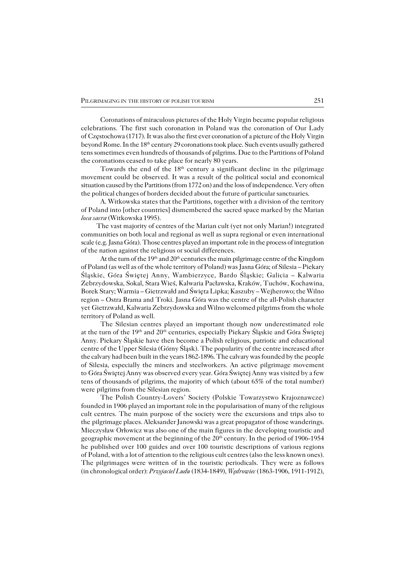Coronations of miraculous pictures of the Holy Virgin became popular religious celebrations. The first such coronation in Poland was the coronation of Our Lady of Częstochowa (1717). It was also the first ever coronation of a picture of the Holy Virgin beyond Rome. In the 18<sup>th</sup> century 29 coronations took place. Such events usually gathered tens sometimes even hundreds of thousands of pilgrims. Due to the Partitions of Poland the coronations ceased to take place for nearly 80 years.

Towards the end of the 18<sup>th</sup> century a significant decline in the pilgrimage movement could be observed. It was a result of the political social and economical situation caused by the Partitions (from 1772 on) and the loss of independence. Very often the political changes of borders decided about the future of particular sanctuaries.

A. Witkowska states that the Partitions, together with a division of the territory ofPoland into [other countries] dismembered the sacred space marked by the Marian *loca sacra* (Witkowska 1995).

The vast majority of centres of the Marian cult (yet not only Marian!) integrated communities on both local and regional as well as supra regional or even international scale (e.g. Jasna Góra). Those centres played an important role in the process of integration of the nation against the religious or social differences.

At the turn of the  $19<sup>th</sup>$  and  $20<sup>th</sup>$  centuries the main pilgrimage centre of the Kingdom of Poland (as well as of the whole territory of Poland) was Jasna Góra; of Silesia – Piekary Śląskie, Góra Świętej Anny, Wambierzyce, Bardo Śląskie; Galicia – Kalwaria Zebrzydowska, Sokal, Stara Wieś, Kalwaria Pacławska, Kraków, Tuchów, Kochawina, Borek Stary; Warmia – Gietrzwałd and Święta Lipka; Kaszuby – Wejherowo; the Wilno region – Ostra Brama and Troki. Jasna Góra was the centre of the all−Polish character yet Gietrzwałd, Kalwaria Zebrzydowska and Wilno welcomed pilgrims from the whole territory of Poland as well.

The Silesian centres played an important though now underestimated role at the turn of the 19<sup>th</sup> and 20<sup>th</sup> centuries, especially Piekary Śląskie and Góra Świętej Anny. Piekary Śląskie have then become a Polish religious, patriotic and educational centre of the Upper Silesia (Górny Śląsk). The popularity of the centre increased after the calvary had been built in the years 1862–1896. The calvary was founded by the people of Silesia, especially the miners and steelworkers. An active pilgrimage movement toGóra Świętej Anny was observed every year. Góra Świętej Anny was visited by a few tens of thousands of pilgrims, the majority of which (about 65% of the total number) were pilgrims from the Silesian region.

The Polish Country−Lovers' Society (Polskie Towarzystwo Krajoznawcze) founded in 1906 played an important role in the popularisation of many of the religious cult centres. The main purpose of the society were the excursions and trips also to the pilgrimage places. Aleksander Janowski was a great propagator of those wanderings. Mieczysław Orłowicz was also one of the main figures in the developing touristic and geographic movement at the beginning of the 20<sup>th</sup> century. In the period of 1906-1954 he published over 100 guides and over 100 touristic descriptions of various regions of Poland, with a lot of attention to the religious cult centres (also the less known ones). The pilgrimages were written of in the touristic periodicals. They were as follows (in chronological order): *Przyjaciel Ludu* (1834−1849), *Wędrowiec* (1863−1906, 1911−1912),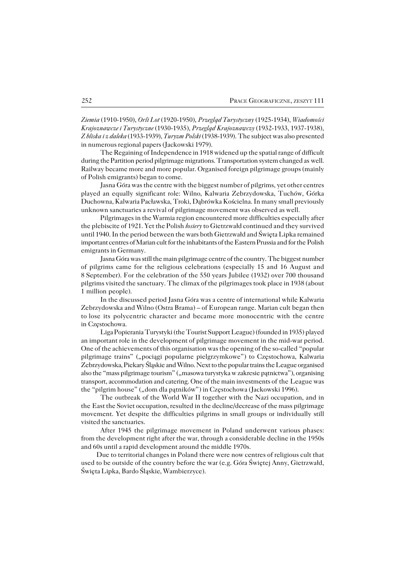*Ziemia* (1910−1950), *Orli Lot* (1920−1950), *Przegląd Turystyczny* (1925−1934), *Wiadomości Krajoznawcze i Turystyczne* (1930−1935), *Przegląd Krajoznawczy* (1932−1933, 1937−1938), *Z bliska i z daleka* (1933−1939), *Turyzm Polski* (1938−1939). The subject was also presented in numerous regional papers (Jackowski 1979).

The Regaining of Independence in 1918 widened up the spatial range of difficult during the Partition period pilgrimage migrations. Transportation system changed as well. Railway became more and more popular. Organised foreign pilgrimage groups (mainly of Polish emigrants) began to come.

Jasna Góra was the centre with the biggest number of pilgrims, yet other centres played an equally significant role: Wilno, Kalwaria Zebrzydowska, Tuchów, Górka Duchowna, Kalwaria Pacławska, Troki, Dąbrówka Kościelna. In many small previously unknown sanctuaries a revival of pilgrimage movement was observed as well.

Pilgrimages in the Warmia region encountered more difficulties especially after the plebiscite of 1921. Yet the Polish *łosiery* to Gietrzwałd continued and they survived until 1940. In the period between the wars both Gietrzwałd and Święta Lipka remained important centres of Marian cult for the inhabitants of the Eastern Prussia and for the Polish emigrants in Germany.

Jasna Góra was still the main pilgrimage centre of the country. The biggest number of pilgrims came for the religious celebrations (especially 15 and 16 August and 8September). For the celebration of the 550 years Jubilee (1932) over 700 thousand pilgrims visited the sanctuary. The climax of the pilgrimages took place in 1938 (about 1 million people).

In the discussed period Jasna Góra was a centre of international while Kalwaria Zebrzydowska and Wilno (Ostra Brama) – of European range. Marian cult began then tolose its polycentric character and became more monocentric with the centre inCzęstochowa.

Liga Popierania Turystyki (the Tourist Support League) (founded in 1935) played an important role in the development of pilgrimage movement in the mid−war period. One of the achievements of this organisation was the opening of the so−called "popular pilgrimage trains" ("pociągi popularne pielgrzymkowe") to Częstochowa, Kalwaria Zebrzydowska, Piekary Śląskie and Wilno. Next to the popular trains the League organised also the "mass pilgrimage tourism" ("masowa turystyka w zakresie pątnictwa"), organising transport, accommodation and catering. One of the main investments of the League was the "pilgrim house" ("dom dla pątników") in Częstochowa (Jackowski 1996).

The outbreak of the World War II together with the Nazi occupation, and in the East the Soviet occupation, resulted in the decline/decrease of the mass pilgrimage movement. Yet despite the difficulties pilgrims in small groups or individually still visited the sanctuaries.

After 1945 the pilgrimage movement in Poland underwent various phases: from the development right after the war, through a considerable decline in the 1950s and 60s until a rapid development around the middle 1970s.

Due to territorial changes in Poland there were now centres of religious cult that used to be outside of the country before the war (e.g. Góra Świętej Anny, Gietrzwałd, Święta Lipka, Bardo Śląskie, Wambierzyce).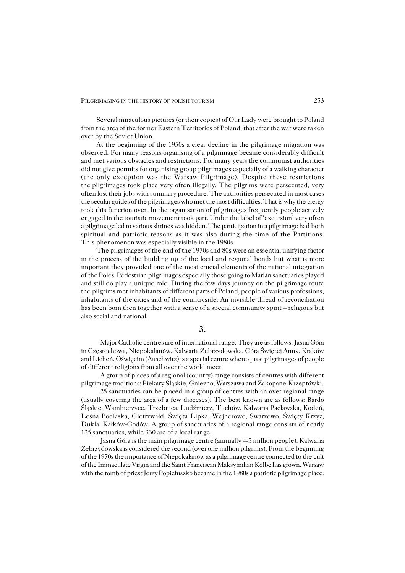Several miraculous pictures (or their copies) of Our Lady were brought to Poland from the area of the former Eastern Territories of Poland, that after the war were taken over by the Soviet Union.

At the beginning of the 1950s a clear decline in the pilgrimage migration was observed. For many reasons organising of a pilgrimage became considerably difficult and met various obstacles and restrictions. For many years the communist authorities did not give permits for organising group pilgrimages especially of a walking character (the only exception was the Warsaw Pilgrimage). Despite these restrictions the pilgrimages took place very often illegally. The pilgrims were persecuted, very often lost their jobs with summary procedure. The authorities persecuted in most cases the secular guides of the pilgrimages who met the most difficulties. That is why the clergy took this function over. In the organisation of pilgrimages frequently people actively engaged in the touristic movement took part. Under the label of 'excursion' very often a pilgrimage led to various shrines was hidden. The participation in a pilgrimage had both spiritual and patriotic reasons as it was also during the time of the Partitions. This phenomenon was especially visible in the 1980s.

The pilgrimages of the end of the 1970s and 80s were an essential unifying factor in the process of the building up of the local and regional bonds but what is more important they provided one of the most crucial elements of the national integration ofthe Poles. Pedestrian pilgrimages especially those going to Marian sanctuaries played and still do play a unique role. During the few days journey on the pilgrimage route the pilgrims met inhabitants of different parts of Poland, people of various professions, inhabitants of the cities and of the countryside. An invisible thread of reconciliation has been born then together with a sense of a special community spirit – religious but also social and national.

**3.**

Major Catholic centres are of international range. They are as follows: Jasna Góra in Częstochowa, Niepokalanów, Kalwaria Zebrzydowska, Góra Świętej Anny, Kraków and Licheń. Oświęcim (Auschwitz) is a special centre where quasi pilgrimages of people of different religions from all over the world meet.

A group of places of a regional (country) range consists of centres with different pilgrimage traditions: Piekary Śląskie, Gniezno, Warszawa and Zakopane−Krzeptówki.

25 sanctuaries can be placed in a group of centres with an over regional range (usually covering the area of a few dioceses). The best known are as follows: Bardo Śląskie, Wambierzyce, Trzebnica, Ludźmierz, Tuchów, Kalwaria Pacławska, Kodeń, Leśna Podlaska, Gietrzwałd, Święta Lipka, Wejherowo, Swarzewo, Święty Krzyż, Dukla, Kałków−Godów. A group of sanctuaries of a regional range consists of nearly 135 sanctuaries, while 330 are of a local range.

Jasna Góra is the main pilgrimage centre (annually 4−5 million people). Kalwaria Zebrzydowska is considered the second (over one million pilgrims). From the beginning of the 1970s the importance of Niepokalanów as a pilgrimage centre connected to the cult of the Immaculate Virgin and the Saint Franciscan Maksymilian Kolbe has grown. Warsaw with the tomb of priest Jerzy Popiełuszko became in the 1980s a patriotic pilgrimage place.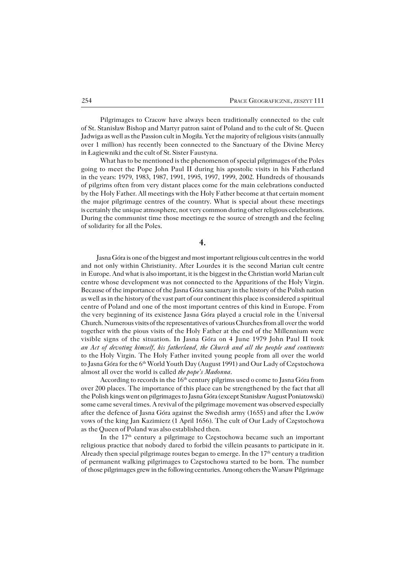Pilgrimages to Cracow have always been traditionally connected to the cult of St. Stanisław Bishop and Martyr patron saint of Poland and to the cult of St. Queen Jadwiga as well as the Passion cult in Mogiła. Yet the majority of religious visits (annually over 1 million) has recently been connected to the Sanctuary of the Divine Mercy in Łagiewniki and the cult of St. Sister Faustyna.

What has to be mentioned is the phenomenon of special pilgrimages of the Poles going to meet the Pope John Paul II during his apostolic visits in his Fatherland in theyears: 1979, 1983, 1987, 1991, 1995, 1997, 1999, 2002. Hundreds of thousands of pilgrims often from very distant places come for the main celebrations conducted by the Holy Father. All meetings with the Holy Father become at that certain moment the major pilgrimage centres of the country. What is special about these meetings is certainly the unique atmosphere, not very common during other religious celebrations. During the communist time those meetings re the source of strength and the feeling of solidarity for all the Poles.

**4.**

Jasna Góra is one of the biggest and most important religious cult centres in theworld and not only within Christianity. After Lourdes it is the second Marian cult centre in Europe. And what is also important, it is the biggest in the Christian world Marian cult centre whose development was not connected to the Apparitions of the Holy Virgin. Because of the importance of the Jasna Góra sanctuary in the history of the Polish nation as well as in the history of the vast part of our continent this place is considered a spiritual centre of Poland and one of the most important centres of this kind in Europe. From thevery beginning of its existence Jasna Góra played a crucial role in the Universal Church. Numerous visits of the representatives of various Churches from all over theworld together with the pious visits of the Holy Father at the end of the Millennium were visible signs of the situation. In Jasna Góra on 4 June 1979 John Paul II took *an Act of devoting himself, his fatherland, the Church and all the people and continents* to theHoly Virgin. The Holy Father invited young people from all over the world to Jasna Góra for the 6<sup>th</sup> World Youth Day (August 1991) and Our Lady of Częstochowa almost all over the world is called *the pope's Madonna*.

According to records in the 16th century pilgrims used o come to Jasna Góra from over 200 places. The importance of this place can be strengthened by the fact that all the Polish kings went on pilgrimages to Jasna Góra (except Stanisław August Poniatowski) some came several times. A revival of the pilgrimage movement was observed especially after the defence of Jasna Góra against the Swedish army (1655) and after the Lwów vows of the king Jan Kazimierz (1 April 1656). The cult of Our Lady of Częstochowa asthe Queen of Poland was also established then.

In the 17<sup>th</sup> century a pilgrimage to Czestochowa became such an important religious practice that nobody dared to forbid the villein peasants to participate in it. Already then special pilgrimage routes began to emerge. In the  $17<sup>th</sup>$  century a tradition of permanent walking pilgrimages to Częstochowa started to be born. The number ofthose pilgrimages grew in the following centuries. Among others the Warsaw Pilgrimage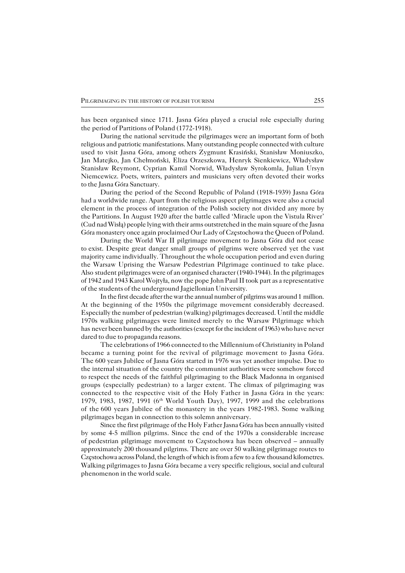has been organised since 1711. Jasna Góra played a crucial role especially during the period of Partitions of Poland (1772−1918).

During the national servitude the pilgrimages were an important form of both religious and patriotic manifestations. Many outstanding people connected with culture used to visit Jasna Góra, among others Zygmunt Krasiński, Stanisław Moniuszko, Jan Matejko, Jan Chełmoński, Eliza Orzeszkowa, Henryk Sienkiewicz, Władysław Stanisław Reymont, Cyprian Kamil Norwid, Władysław Syrokomla, Julian Ursyn Niemcewicz. Poets, writers, painters and musicians very often devoted their works to the Jasna Góra Sanctuary.

During the period of the Second Republic of Poland (1918−1939) Jasna Góra had a worldwide range. Apart from the religious aspect pilgrimages were also a crucial element in the process of integration of the Polish society not divided any more by thePartitions. In August 1920 after the battle called 'Miracle upon the Vistula River' (Cud nad Wisłą) people lying with their arms outstretched in the main square of the Jasna Góra monastery once again proclaimed Our Lady of Częstochowa the Queen of Poland.

During the World War II pilgrimage movement to Jasna Góra did not cease to exist. Despite great danger small groups of pilgrims were observed yet the vast majority came individually. Throughout the whole occupation period and even during the Warsaw Uprising the Warsaw Pedestrian Pilgrimage continued to take place. Alsostudent pilgrimages were of an organised character (1940−1944). In the pilgrimages of 1942 and 1943 Karol Wojtyła, now the pope John Paul II took part as a representative of the students of the underground Jagiellonian University.

In the first decade after the war the annual number of pilgrims was around 1 million. At the beginning of the 1950s the pilgrimage movement considerably decreased. Especially the number of pedestrian (walking) pilgrimages decreased. Until the middle 1970s walking pilgrimages were limited merely to the Warsaw Pilgrimage which has never been banned by the authorities (except for the incident of 1963) who have never dared to due to propaganda reasons.

The celebrations of 1966 connected to the Millennium of Christianity in Poland became a turning point for the revival of pilgrimage movement to Jasna Góra. The 600 years Jubilee of Jasna Góra started in 1976 was yet another impulse. Due to the internal situation of the country the communist authorities were somehow forced to respect the needs of the faithful pilgrimaging to the Black Madonna in organised groups (especially pedestrian) to a larger extent. The climax of pilgrimaging was connected to the respective visit of the Holy Father in Jasna Góra in the years: 1979, 1983, 1987, 1991 (6th World Youth Day), 1997, 1999 and the celebrations of the600 years Jubilee of the monastery in the years 1982−1983. Some walking pilgrimages began in connection to this solemn anniversary.

Since the first pilgrimage of the Holy Father Jasna Góra has been annually visited by some 4−5 million pilgrims. Since the end of the 1970s a considerable increase of pedestrian pilgrimage movement to Czestochowa has been observed – annually approximately 200 thousand pilgrims. There are over 50 walking pilgrimage routes to Częstochowa across Poland, the length of which is from a few to a few thousand kilometres. Walking pilgrimages to Jasna Góra became a very specific religious, social and cultural phenomenon in the world scale.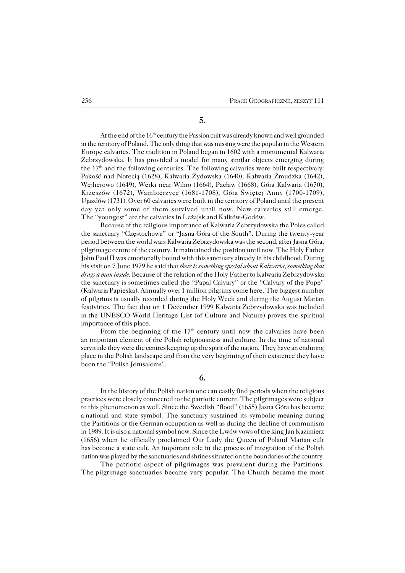### **5.**

At the end of the 16th century the Passion cult was already known and well grounded in the territory of Poland. The only thing that was missing were the popular in the Western Europe calvaries. The tradition in Poland began in 1602 with a monumental Kalwaria Zebrzydowska. It has provided a model for many similar objects emerging during the  $17<sup>th</sup>$  and the following centuries. The following calvaries were built respectively: Pakość nad Notecią (1628), Kalwaria Żydowska (1640), Kalwaria Żmudzka (1642), Wejherowo (1649), Werki near Wilno (1664), Pacław (1668), Góra Kalwaria (1670), Krzeszów (1672), Wambierzyce (1681−1708), Góra Świętej Anny (1700−1709), Ujazdów (1731). Over 60calvaries were built in the territory of Poland until the present day yet only some of them survived until now. New calvaries still emerge. The "youngest" are the calvaries in Leżajsk and Kałków−Godów.

Because of the religious importance of Kalwaria Zebrzydowska the Poles called the sanctuary "Częstochowa" or "Jasna Góra of the South". During the twenty−year period between the world wars Kalwaria Zebrzydowska was the second, after Jasna Góra, pilgrimage centre of the country. It maintained the position until now. The Holy Father John Paul II was emotionally bound with this sanctuary already in his childhood. During his visit on 7 June 1979 he said that *there is something special about Kalwaria, something that drags a man inside*. Because of the relation of the Holy Father to Kalwaria Zebrzydowska the sanctuary is sometimes called the "Papal Calvary" or the "Calvary of the Pope" (Kalwaria Papieska). Annually over 1 million pilgrims come here. The biggest number of pilgrims is usually recorded during the Holy Week and during the August Marian festivities. The fact that on 1 December 1999 Kalwaria Zebrzydowska was included in the UNESCO World Heritage List (of Culture and Nature) proves the spiritual importance of this place.

From the beginning of the  $17<sup>th</sup>$  century until now the calvaries have been animportant element of the Polish religiousness and culture. In the time of national servitude they were the centres keeping up the spirit of the nation. They have an enduring place in the Polish landscape and from the very beginning of their existence they have been the "Polish Jerusalems".

**6.**

In the history of the Polish nation one can easily find periods when the religious practices were closely connected to the patriotic current. The pilgrimages were subject to this phenomenon as well. Since the Swedish "flood" (1655) Jasna Góra has become anational and state symbol. The sanctuary sustained its symbolic meaning during thePartitions or the German occupation as well as during the decline of communism in1989. It is also a national symbol now. Since the Lwów vows of the king Jan Kazimierz (1656) when he officially proclaimed Our Lady the Queen of Poland Marian cult has become a state cult. An important role in the process of integration of the Polish nation was played by the sanctuaries and shrines situated on the boundaries of the country.

The patriotic aspect of pilgrimages was prevalent during the Partitions. The pilgrimage sanctuaries became very popular. The Church became the most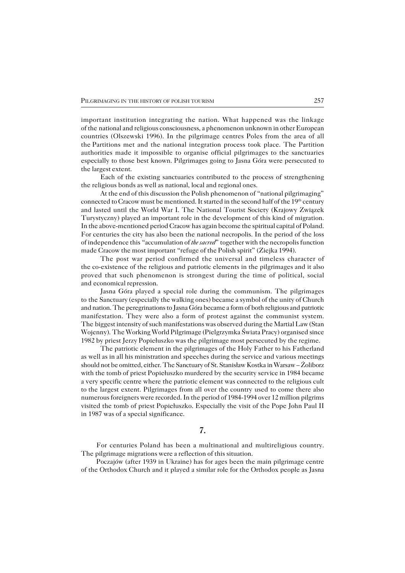important institution integrating the nation. What happened was the linkage of the national and religious consciousness, a phenomenon unknown in other European countries (Olszewski 1996). In the pilgrimage centres Poles from the area of all the Partitions met and the national integration process took place. The Partition authorities made it impossible to organise official pilgrimages to the sanctuaries especially to those best known. Pilgrimages going to Jasna Góra were persecuted to the largest extent.

Each of the existing sanctuaries contributed to the process of strengthening the religious bonds as well as national, local and regional ones.

At the end of this discussion the Polish phenomenon of "national pilgrimaging" connected to Cracow must be mentioned. It started in the second half of the 19th century and lasted until the World War I. The National Tourist Society (Krajowy Związek Turystyczny) played an important role in the development of this kind of migration. In the above−mentioned period Cracow has again become the spiritual capital of Poland. For centuries the city has also been the national necropolis. In the period of the loss of independence this "accumulation of *the sacred*" together with the necropolis function made Cracow the most important "refuge of the Polish spirit" (Ziejka 1994).

The post war period confirmed the universal and timeless character of the co−existence of the religious and patriotic elements in the pilgrimages and it also proved that such phenomenon is strongest during the time of political, social and economical repression.

Jasna Góra played a special role during the communism. The pilgrimages to the Sanctuary (especially the walking ones) became a symbol of the unity of Church and nation. The peregrinations to Jasna Góra became a form of both religious and patriotic manifestation. They were also a form of protest against the communist system. The biggest intensity of such manifestations was observed during the Martial Law (Stan Wojenny). The Working World Pilgrimage (Pielgrzymka Świata Pracy) organised since 1982 by priest Jerzy Popiełuszko was the pilgrimage most persecuted by the regime.

The patriotic element in the pilgrimages of the Holy Father to his Fatherland aswell as in all his ministration and speeches during the service and various meetings should not be omitted, either. The Sanctuary of St. Stanisław Kostka in Warsaw – Żoliborz with the tomb of priest Popiełuszko murdered by the security service in 1984 became avery specific centre where the patriotic element was connected to the religious cult tothe largest extent. Pilgrimages from all over the country used to come there also numerous foreigners were recorded. In the period of 1984−1994 over 12 million pilgrims visited the tomb of priest Popiełuszko. Especially the visit of the Pope John Paul II in1987 was of a special significance.

## **7.**

For centuries Poland has been a multinational and multireligious country. The pilgrimage migrations were a reflection of this situation.

Poczajów (after 1939 in Ukraine) has for ages been the main pilgrimage centre ofthe Orthodox Church and it played a similar role for the Orthodox people as Jasna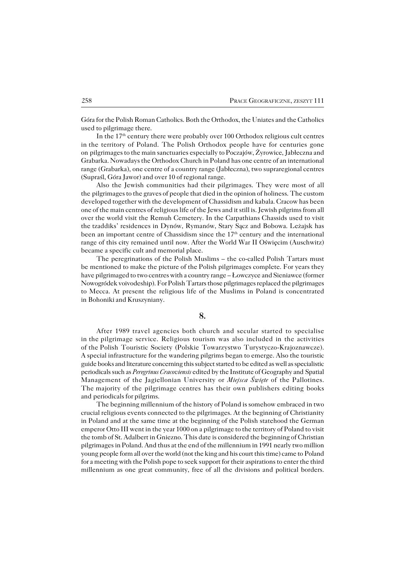Góra for the Polish Roman Catholics. Both the Orthodox, the Uniates and the Catholics used to pilgrimage there.

In the  $17<sup>th</sup>$  century there were probably over 100 Orthodox religious cult centres in the territory of Poland. The Polish Orthodox people have for centuries gone on pilgrimages to the main sanctuaries especially to Poczajów, Żyrowice, Jabłeczna and Grabarka. Nowadays the Orthodox Church in Poland has one centre of an international range (Grabarka), one centre of a country range (Jabłeczna), two supraregional centres (Supraśl, Góra Jawor) and over 10 of regional range.

Also the Jewish communities had their pilgrimages. They were most of all the pilgrimages to the graves of people that died in the opinion of holiness. The custom developed together with the development of Chassidism and kabala. Cracow has been one of the main centres of religious life of the Jews and it still is. Jewish pilgrims from all over the world visit the Remuh Cemetery. In the Carpathians Chassids used to visit the tzaddiks' residences in Dynów, Rymanów, Stary Sącz and Bobowa. Leżajsk has been an important centre of Chassidism since the 17<sup>th</sup> century and the international range of this city remained until now. After the World War II Oświęcim (Auschwitz) became a specific cult and memorial place.

The peregrinations of the Polish Muslims – the co−called Polish Tartars must be mentioned to make the picture of the Polish pilgrimages complete. For years they have pilgrimaged to two centres with a country range – Łowczyce and Sieniawce (former Nowogródek voivodeship). For Polish Tartars those pilgrimages replaced the pilgrimages to Mecca. At present the religious life of the Muslims in Poland is concentrated in Bohoniki and Kruszyniany.

### **8.**

After 1989 travel agencies both church and secular started to specialise in the pilgrimage service. Religious tourism was also included in the activities ofthePolish Touristic Society (Polskie Towarzystwo Turystyczo−Krajoznawcze). A special infrastructure for the wandering pilgrims began to emerge. Also the touristic guide books and literature concerning this subject started to be edited as well as specialistic periodicals such as *Peregrinus Cracoviensis* edited by the Institute of Geography and Spatial Management of the Jagiellonian University or *Miejsca Święte* of the Pallotines. The majority of the pilgrimage centres has their own publishers editing books and periodicals for pilgrims.

The beginning millennium of the history of Poland is somehow embraced in two crucial religious events connected to the pilgrimages. At the beginning of Christianity in Poland and at the same time at the beginning of the Polish statehood the German emperor Otto III went in the year 1000 on a pilgrimage to the territory of Poland to visit the tomb of St. Adalbert in Gniezno. This date is considered the beginning of Christian pilgrimages in Poland. And thus at the end of the millennium in 1991 nearly two million young people form all over the world (not the king and his court this time) came to Poland for a meeting with the Polish pope to seek support for their aspirations to enter the third millennium as one great community, free of all the divisions and political borders.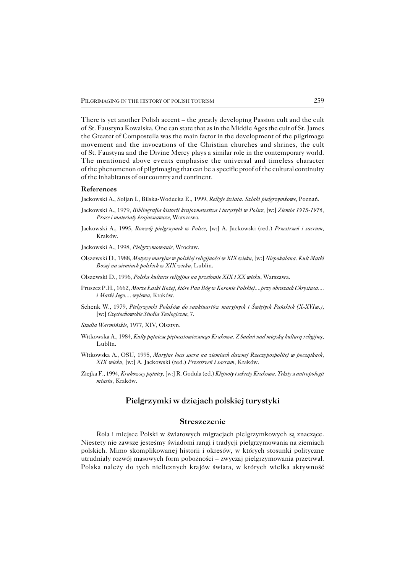There is yet another Polish accent – the greatly developing Passion cult and the cult ofSt. Faustyna Kowalska. One can state that as in the Middle Ages the cult of St. James the Greater of Compostella was the main factor in the development of the pilgrimage movement and the invocations of the Christian churches and shrines, the cult of St. Faustyna and the Divine Mercy plays a similar role in the contemporary world. The mentioned above events emphasise the universal and timeless character of the phenomenon of pilgrimaging that can be a specific proof of the cultural continuity of the inhabitants of our country and continent.

#### **References**

Jackowski A., Sołjan I., Bilska−Wodecka E., 1999, *Religie świata. Szlaki pielgrzymkowe*, Poznań.

- Jackowski A., 1979, *Bibliografia historii krajoznawstwa i turystyki w Polsce,* [w:] *Ziemia 1975−1976, Prace i materiały krajoznawcze*, Warszawa.
- Jackowski A., 1995, *Rozwój pielgrzymek w Polsce,* [w:] A. Jackowski (red.) *Przestrzeń i sacrum*, Kraków.
- Jackowski A., 1998, *Pielgrzymowanie*, Wrocław.
- Olszewski D., 1988, *Motywy maryjne w polskiej religijności w XIX wieku,* [w:] *Niepokalana. Kult Matki Bożej na ziemiach polskich w XIX wieku*, Lublin.
- Olszewski D., 1996, *Polska kultura religijna na przełomie XIX i XX wieku*, Warszawa.
- Pruszcz P.H., 1662, *Morze Łaski Bożej, które Pan Bóg w Koronie Polskiej....przy obrazach Chrystusa.... i Matki Jego.... wylewa*, Kraków.
- Schenk W., 1979, *Pielgrzymki Polaków do sanktuariów maryjnych i Świętych Pańskich (X−XVIw.),* [w:] *Częstochowskie Studia Teologiczne*, 7.
- *Studia Warmińskie*, 1977, XIV, Olsztyn.
- Witkowska A., 1984, *Kulty pątnicze piętnastowiecznego Krakowa. Z badań nad miejską kulturą religijną*, Lublin.
- Witkowska A., OSU, 1995, *Maryjne loca sacra na ziemiach dawnej Rzeczypospolitej w początkach, XIX wieku,* [w:] A. Jackowski (red.) *Przestrzeń i sacrum*, Kraków.
- Ziejka F., 1994, *Krakowscy pątnicy,* [w:] R. Godula (ed.) *Klejnoty i sekrety Krakowa. Teksty z antropologii miasta*, Kraków.

## **Pielgrzymki w dziejach polskiej turystyki**

#### **Streszczenie**

Rola i miejsce Polski w światowych migracjach pielgrzymkowych są znaczące. Niestety nie zawsze jesteśmy świadomi rangi i tradycji pielgrzymowania na ziemiach polskich. Mimo skomplikowanej historii i okresów, w których stosunki polityczne utrudniały rozwój masowych form pobożności – zwyczaj pielgrzymowania przetrwał. Polska należy do tych nielicznych krajów świata, w których wielka aktywność